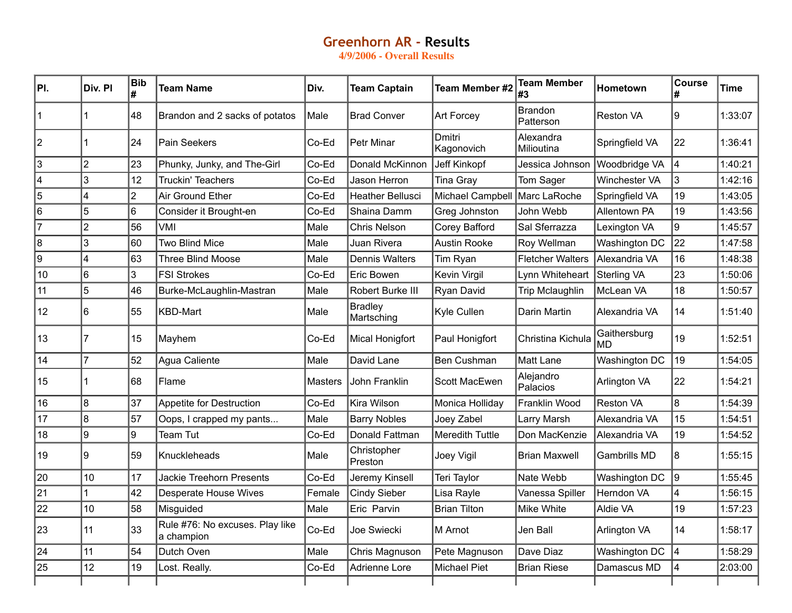## **Greenhorn AR ‑ Results**

**4/9/2006 - Overall Results**

| PI.       | Div. PI                 | <b>Bib</b><br># | <b>Team Name</b>                              | Div.    | <b>Team Captain</b>          | <b>Team Member #2</b> | <b>Team Member</b><br>#3    | <b>Hometown</b>      | <b>Course</b>           | Time    |
|-----------|-------------------------|-----------------|-----------------------------------------------|---------|------------------------------|-----------------------|-----------------------------|----------------------|-------------------------|---------|
| $\vert$ 1 |                         | 48              | Brandon and 2 sacks of potatos                | Male    | <b>Brad Conver</b>           | <b>Art Forcey</b>     | <b>Brandon</b><br>Patterson | <b>Reston VA</b>     | Ι9                      | 1:33:07 |
| 2         |                         | 24              | Pain Seekers                                  | Co-Ed   | <b>Petr Minar</b>            | Dmitri<br>Kagonovich  | Alexandra<br>Milioutina     | Springfield VA       | 22                      | 1:36:41 |
| 3         | $\overline{2}$          | 23              | Phunky, Junky, and The-Girl                   | Co-Ed   | Donald McKinnon              | Jeff Kinkopf          | Jessica Johnson             | Woodbridge VA        | 4                       | 1:40:21 |
| 4         | 3                       | 12              | <b>Truckin' Teachers</b>                      | Co-Ed   | Jason Herron                 | <b>Tina Gray</b>      | Tom Sager                   | <b>Winchester VA</b> | $\overline{3}$          | 1:42:16 |
| 5         | 4                       | $\overline{2}$  | Air Ground Ether                              | Co-Ed   | <b>Heather Bellusci</b>      | Michael Campbell      | Marc LaRoche                | Springfield VA       | 19                      | 1:43:05 |
| 6         | 5                       | 6               | Consider it Brought-en                        | Co-Ed   | Shaina Damm                  | Greg Johnston         | John Webb                   | <b>Allentown PA</b>  | 19                      | 1:43:56 |
| 7         | $\overline{2}$          | 56              | VMI                                           | Male    | <b>Chris Nelson</b>          | Corey Bafford         | Sal Sferrazza               | Lexington VA         | 9                       | 1:45:57 |
| 8         | 3                       | 60              | <b>Two Blind Mice</b>                         | Male    | Juan Rivera                  | <b>Austin Rooke</b>   | Roy Wellman                 | Washington DC        | 22                      | 1:47:58 |
| 9         | $\overline{\mathbf{A}}$ | 63              | Three Blind Moose                             | Male    | <b>Dennis Walters</b>        | Tim Ryan              | <b>Fletcher Walters</b>     | Alexandria VA        | 16                      | 1:48:38 |
| 10        | 6                       | 3               | <b>FSI Strokes</b>                            | Co-Ed   | Eric Bowen                   | Kevin Virgil          | Lynn Whiteheart             | Sterling VA          | 23                      | 1:50:06 |
| 11        | 5                       | 46              | Burke-McLaughlin-Mastran                      | Male    | Robert Burke III             | Ryan David            | <b>Trip Mclaughlin</b>      | McLean VA            | 18                      | 1:50:57 |
| 12        | 6                       | 55              | KBD-Mart                                      | Male    | <b>Bradley</b><br>Martsching | Kyle Cullen           | Darin Martin                | Alexandria VA        | 14                      | 1:51:40 |
| 13        | 7                       | 15              | Mayhem                                        | Co-Ed   | Mical Honigfort              | Paul Honigfort        | Christina Kichula           | Gaithersburg<br>lmd  | 19                      | 1:52:51 |
| 14        | $\overline{7}$          | 52              | Agua Caliente                                 | Male    | David Lane                   | Ben Cushman           | <b>Matt Lane</b>            | Washington DC        | 19                      | 1:54:05 |
| 15        |                         | 68              | Flame                                         | Masters | John Franklin                | Scott MacEwen         | Alejandro<br>Palacios       | Arlington VA         | 22                      | 1:54:21 |
| 16        | 8                       | 37              | Appetite for Destruction                      | Co-Ed   | Kira Wilson                  | Monica Holliday       | Franklin Wood               | <b>Reston VA</b>     | $\overline{8}$          | 1:54:39 |
| 17        | 8                       | 57              | Oops, I crapped my pants                      | Male    | <b>Barry Nobles</b>          | Joey Zabel            | Larry Marsh                 | Alexandria VA        | 15                      | 1:54:51 |
| 18        | 9                       | 9               | Team Tut                                      | Co-Ed   | Donald Fattman               | Meredith Tuttle       | Don MacKenzie               | Alexandria VA        | 19                      | 1:54:52 |
| 19        | Ι9                      | 59              | Knuckleheads                                  | Male    | Christopher<br>Preston       | Joey Vigil            | <b>Brian Maxwell</b>        | Gambrills MD         | 8                       | 1:55:15 |
| 20        | 10                      | 17              | <b>Jackie Treehorn Presents</b>               | Co-Ed   | Jeremy Kinsell               | Teri Taylor           | Nate Webb                   | Washington DC        | $\overline{9}$          | 1:55:45 |
| 21        |                         | 42              | <b>Desperate House Wives</b>                  | Female  | <b>Cindy Sieber</b>          | Lisa Rayle            | Vanessa Spiller             | Herndon VA           | $\overline{\mathbf{4}}$ | 1:56:15 |
| 22        | 10                      | 58              | Misguided                                     | Male    | Eric Parvin                  | <b>Brian Tilton</b>   | Mike White                  | Aldie VA             | 19                      | 1:57:23 |
| 23        | 11                      | 33              | Rule #76: No excuses. Play like<br>a champion | Co-Ed   | Joe Swiecki                  | M Arnot               | Jen Ball                    | Arlington VA         | 14                      | 1:58:17 |
| 24        | 11                      | 54              | Dutch Oven                                    | Male    | Chris Magnuson               | Pete Magnuson         | Dave Diaz                   | Washington DC        | 14                      | 1:58:29 |
| 25        | 12                      | 19              | Lost. Really.                                 | Co-Ed   | Adrienne Lore                | <b>Michael Piet</b>   | <b>Brian Riese</b>          | Damascus MD          | 4                       | 2:03:00 |
|           |                         |                 |                                               |         |                              |                       |                             |                      |                         |         |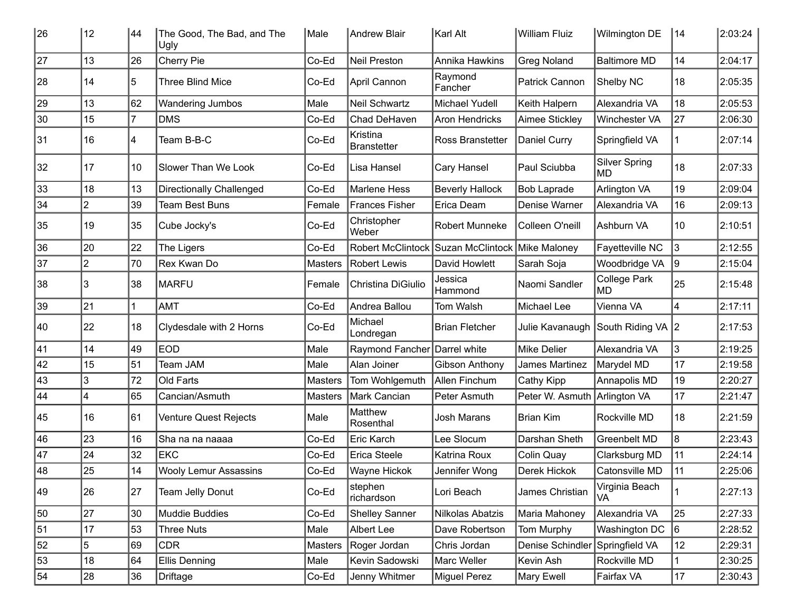| 26 | 12             | 44             | The Good, The Bad, and The<br>Ugly | Male           | <b>Andrew Blair</b>            | Karl Alt                                        | <b>William Fluiz</b> | Wilmington DE              | 14             | 2:03:24 |
|----|----------------|----------------|------------------------------------|----------------|--------------------------------|-------------------------------------------------|----------------------|----------------------------|----------------|---------|
| 27 | 13             | 26             | Cherry Pie                         | Co-Ed          | <b>Neil Preston</b>            | Annika Hawkins                                  | <b>Greg Noland</b>   | <b>Baltimore MD</b>        | 14             | 2:04:17 |
| 28 | 14             | 5              | <b>Three Blind Mice</b>            | Co-Ed          | April Cannon                   | Raymond<br>Fancher                              | Patrick Cannon       | Shelby NC                  | 18             | 2:05:35 |
| 29 | 13             | 62             | Wandering Jumbos                   | Male           | Neil Schwartz                  | Michael Yudell                                  | Keith Halpern        | Alexandria VA              | 18             | 2:05:53 |
| 30 | 15             | $\overline{7}$ | <b>DMS</b>                         | Co-Ed          | Chad DeHaven                   | <b>Aron Hendricks</b>                           | Aimee Stickley       | Winchester VA              | 27             | 2:06:30 |
| 31 | 16             | 4              | Team B-B-C                         | Co-Ed          | Kristina<br><b>Branstetter</b> | Ross Branstetter                                | Daniel Curry         | Springfield VA             |                | 2:07:14 |
| 32 | 17             | 10             | Slower Than We Look                | Co-Ed          | Lisa Hansel                    | Cary Hansel                                     | Paul Sciubba         | <b>Silver Spring</b><br>MD | 18             | 2:07:33 |
| 33 | 18             | 13             | <b>Directionally Challenged</b>    | Co-Ed          | <b>Marlene Hess</b>            | <b>Beverly Hallock</b>                          | <b>Bob Laprade</b>   | Arlington VA               | 19             | 2:09:04 |
| 34 | 2              | 39             | <b>Team Best Buns</b>              | Female         | <b>Frances Fisher</b>          | Erica Deam                                      | Denise Warner        | Alexandria VA              | 16             | 2:09:13 |
| 35 | 19             | 35             | Cube Jocky's                       | Co-Ed          | Christopher<br>Weber           | Robert Munneke                                  | Colleen O'neill      | Ashburn VA                 | 10             | 2:10:51 |
| 36 | 20             | 22             | The Ligers                         | Co-Ed          |                                | Robert McClintock Suzan McClintock Mike Maloney |                      | Fayetteville NC            | l3             | 2:12:55 |
| 37 | $\overline{2}$ | 70             | Rex Kwan Do                        | <b>Masters</b> | <b>Robert Lewis</b>            | David Howlett                                   | Sarah Soja           | Woodbridge VA              | $ 9\rangle$    | 2:15:04 |
| 38 | 3              | 38             | <b>MARFU</b>                       | Female         | Christina DiGiulio             | Jessica<br>Hammond                              | Naomi Sandler        | College Park<br>MD         | 25             | 2:15:48 |
| 39 | 21             |                | <b>AMT</b>                         | Co-Ed          | Andrea Ballou                  | Tom Walsh                                       | Michael Lee          | Vienna VA                  | 4              | 2:17:11 |
| 40 | 22             | 18             | Clydesdale with 2 Horns            | Co-Ed          | Michael<br>Londregan           | <b>Brian Fletcher</b>                           | Julie Kavanaugh      | South Riding VA 2          |                | 2:17:53 |
| 41 | 14             | 49             | <b>EOD</b>                         | Male           | Raymond Fancher Darrel white   |                                                 | <b>Mike Delier</b>   | Alexandria VA              | 3              | 2:19:25 |
| 42 | 15             | 51             | Team JAM                           | Male           | Alan Joiner                    | Gibson Anthony                                  | James Martinez       | Marydel MD                 | 17             | 2:19:58 |
| 43 | 3              | 72             | Old Farts                          | <b>Masters</b> | Tom Wohlgemuth                 | Allen Finchum                                   | Cathy Kipp           | Annapolis MD               | 19             | 2:20:27 |
| 44 | 4              | 65             | Cancian/Asmuth                     | <b>Masters</b> | Mark Cancian                   | Peter Asmuth                                    | Peter W. Asmuth      | <b>Arlington VA</b>        | 17             | 2:21:47 |
| 45 | 16             | 61             | Venture Quest Rejects              | Male           | Matthew<br>Rosenthal           | Josh Marans                                     | <b>Brian Kim</b>     | Rockville MD               | 18             | 2:21:59 |
| 46 | 23             | 16             | Sha na na naaaa                    | Co-Ed          | Eric Karch                     | Lee Slocum                                      | Darshan Sheth        | Greenbelt MD               | $\overline{8}$ | 2:23:43 |
| 47 | 24             | 32             | <b>EKC</b>                         | Co-Ed          | Erica Steele                   | Katrina Roux                                    | Colin Quay           | Clarksburg MD              | 11             | 2:24:14 |
| 48 | 25             | 14             | <b>Wooly Lemur Assassins</b>       | Co-Ed          | <b>Wayne Hickok</b>            | Jennifer Wong                                   | Derek Hickok         | Catonsville MD             | 11             | 2:25:06 |
| 49 | 26             | 27             | Team Jelly Donut                   | Co-Ed          | stephen<br>richardson          | Lori Beach                                      | James Christian      | Virginia Beach<br>VA       |                | 2:27:13 |
| 50 | 27             | 30             | Muddie Buddies                     | Co-Ed          | <b>Shelley Sanner</b>          | Nilkolas Abatzis                                | Maria Mahoney        | Alexandria VA              | 25             | 2:27:33 |
| 51 | 17             | 53             | <b>Three Nuts</b>                  | Male           | Albert Lee                     | Dave Robertson                                  | Tom Murphy           | Washington DC              | 6              | 2:28:52 |
| 52 | 5              | 69             | <b>CDR</b>                         | <b>Masters</b> | Roger Jordan                   | Chris Jordan                                    | Denise Schindler     | Springfield VA             | 12             | 2:29:31 |
| 53 | 18             | 64             | <b>Ellis Denning</b>               | Male           | Kevin Sadowski                 | Marc Weller                                     | Kevin Ash            | Rockville MD               |                | 2:30:25 |
| 54 | 28             | 36             | Driftage                           | Co-Ed          | Jenny Whitmer                  | <b>Miguel Perez</b>                             | Mary Ewell           | Fairfax VA                 | 17             | 2:30:43 |